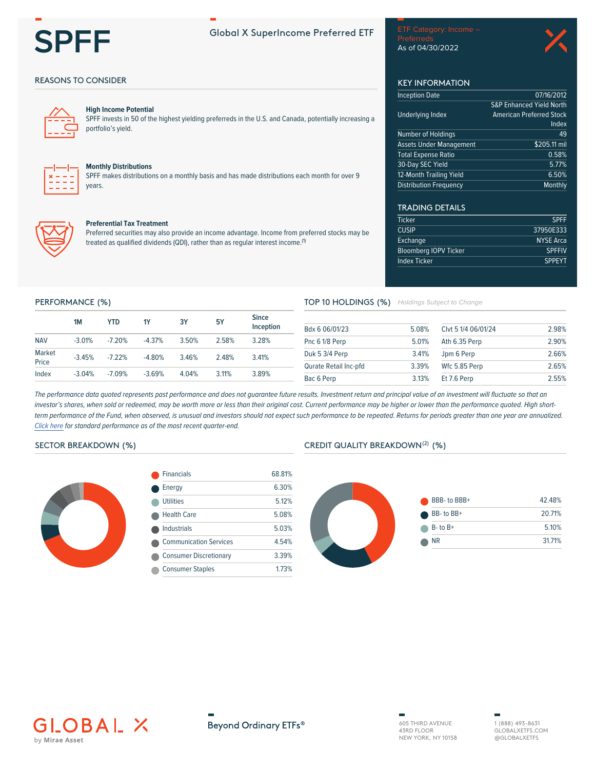

# **Global X SuperIncome Preferred ETF**

## **REASONS TO CONSIDER**



## **High Income Potential**

SPFF invests in 50 of the highest yielding preferreds in the U.S. and Canada, potentially increasing a portfolio's yield.



### **Monthly Distributions**

SPFF makes distributions on a monthly basis and has made distributions each month for over 9 vears



#### **Preferential Tax Treatment**

Preferred securities may also provide an income advantage. Income from preferred stocks may be treated as qualified dividends (QDI), rather than as regular interest income.<sup>(1)</sup>

| referreds        |  |  |
|------------------|--|--|
| s of 04/30/2022. |  |  |



# **KEY INFORMATION**

| nception Date                  | 07/16/2012                          |
|--------------------------------|-------------------------------------|
|                                | <b>S&amp;P Enhanced Yield North</b> |
| <b>Jnderlying Index</b>        | <b>American Preferred Stock</b>     |
|                                | Index                               |
| Number of Holdings             | 49                                  |
| Assets Under Management        | \$205.11 mil                        |
| <b>Total Expense Ratio</b>     | 0.58%                               |
| <b>30-Day SEC Yield</b>        | 5.77%                               |
| <b>12-Month Trailing Yield</b> | 6.50%                               |
| Distribution Frequency         | Monthly                             |

# **TRADING DETAILS**

| <b>Ticker</b>                | <b>SPFF</b>      |
|------------------------------|------------------|
| <b>CUSIP</b>                 | 37950E333        |
| Exchange                     | <b>NYSE Arca</b> |
| <b>Bloomberg IOPV Ticker</b> | <b>SPFFIV</b>    |
| Index Ticker                 | <b>SPPEYT</b>    |
|                              |                  |

#### PERFORMANCE (%)

|                 | 1M       | YTD.     | <b>1Y</b> | 3Υ    | <b>5Y</b> | <b>Since</b><br>Inception |
|-----------------|----------|----------|-----------|-------|-----------|---------------------------|
| <b>NAV</b>      | $-3.01%$ | $-7.20%$ | $-4.37%$  | 3.50% | 2.58%     | 3.28%                     |
| Market<br>Price | $-3.45%$ | $-7.22%$ | $-4.80%$  | 3.46% | 248%      | 341%                      |
| Index           | $-3.04%$ | $-7.09%$ | $-3.69%$  | 4.04% | $3.11\%$  | 3.89%                     |

#### TOP 10 HOLDINGS (%) Holdings Subject to Change

| Bdx 6 06/01/23        | 5.08% | Clvt 5 1/4 06/01/24 | 2.98% |
|-----------------------|-------|---------------------|-------|
| Pnc 6 1/8 Perp        | 5.01% | Ath 6.35 Perp       | 2.90% |
| Duk 5 3/4 Perp        | 3.41% | Jpm 6 Perp          | 2.66% |
| Qurate Retail Inc-pfd | 3.39% | Wfc 5.85 Perp       | 2.65% |
| Bac 6 Perp            | 3.13% | Et 7.6 Perp         | 2.55% |

The performance data quoted represents past performance and does not guarantee future results. Investment return and principal value of an investment will fluctuate so that an investor's shares, when sold or redeemed, may be worth more or less than their original cost. Current performance may be higher or lower than the performance quoted. High shortterm performance of the Fund, when observed, is unusual and investors should not expect such performance to be repeated. Returns for periods greater than one year are annualized. Click here for standard performance as of the most recent quarter-end.

## SECTOR BREAKDOWN (%)



| <b>Financials</b>             | 68.81% |
|-------------------------------|--------|
| Energy                        | 6.30%  |
| Utilities                     | 5 1 2% |
| <b>Health Care</b>            | 5.08%  |
| Industrials                   | 5.03%  |
| <b>Communication Services</b> | 4.54%  |
| <b>Consumer Discretionary</b> | 3.39%  |
| <b>Consumer Staples</b>       | 1.73%  |

### CREDIT QUALITY BREAKDOWN<sup>(2)</sup> (%)





Beyond Ordinary ETFs®

605 THIRD AVENUE 43RD FLOOR NEW YORK, NY 10158

1 (888) 493-8631 GLOBAL XETES COM @GLOBALXETFS